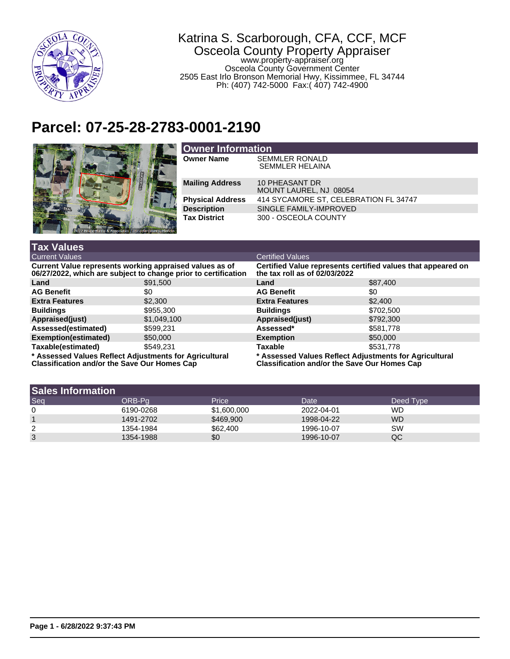

## Katrina S. Scarborough, CFA, CCF, MCF Osceola County Property Appraiser www.property-appraiser.org Osceola County Government Center 2505 East Irlo Bronson Memorial Hwy, Kissimmee, FL 34744 Ph: (407) 742-5000 Fax:( 407) 742-4900

## **Parcel: 07-25-28-2783-0001-2190**



| <b>Owner Information</b> |                                                 |  |  |
|--------------------------|-------------------------------------------------|--|--|
| <b>Owner Name</b>        | <b>SEMMLER RONALD</b><br><b>SEMMLER HELAINA</b> |  |  |
| <b>Mailing Address</b>   | 10 PHEASANT DR<br>MOUNT LAUREL, NJ 08054        |  |  |
| <b>Physical Address</b>  | 414 SYCAMORE ST, CELEBRATION FL 34747           |  |  |
| <b>Description</b>       | SINGLE FAMILY-IMPROVED                          |  |  |
| <b>Tax District</b>      | 300 - OSCEOLA COUNTY                            |  |  |

| <b>Tax Values</b>                                                                                                         |             |                                                                                                        |           |  |
|---------------------------------------------------------------------------------------------------------------------------|-------------|--------------------------------------------------------------------------------------------------------|-----------|--|
| <b>Current Values</b>                                                                                                     |             | <b>Certified Values</b>                                                                                |           |  |
| Current Value represents working appraised values as of<br>06/27/2022, which are subject to change prior to certification |             | Certified Value represents certified values that appeared on<br>the tax roll as of $02/03/2022$        |           |  |
| Land                                                                                                                      | \$91,500    | Land                                                                                                   | \$87,400  |  |
| <b>AG Benefit</b>                                                                                                         | \$0         | <b>AG Benefit</b>                                                                                      | \$0       |  |
| <b>Extra Features</b>                                                                                                     | \$2,300     | <b>Extra Features</b>                                                                                  | \$2,400   |  |
| <b>Buildings</b>                                                                                                          | \$955,300   | <b>Buildings</b>                                                                                       | \$702,500 |  |
| Appraised(just)                                                                                                           | \$1,049,100 | Appraised(just)                                                                                        | \$792,300 |  |
| Assessed(estimated)                                                                                                       | \$599.231   | Assessed*                                                                                              | \$581,778 |  |
| Exemption(estimated)                                                                                                      | \$50,000    | <b>Exemption</b>                                                                                       | \$50,000  |  |
| Taxable(estimated)                                                                                                        | \$549.231   | <b>Taxable</b>                                                                                         | \$531,778 |  |
| * Assessed Values Reflect Adjustments for Agricultural<br>Classification and/or the Save Our Homes Cap                    |             | * Assessed Values Reflect Adjustments for Agricultural<br>Classification and/or the Save Our Homes Cap |           |  |

| <b>Sales Information</b> |           |             |            |           |  |
|--------------------------|-----------|-------------|------------|-----------|--|
| Seq                      | ORB-Pa    | Price       | Date       | Deed Type |  |
| 0                        | 6190-0268 | \$1,600,000 | 2022-04-01 | WD        |  |
|                          | 1491-2702 | \$469,900   | 1998-04-22 | <b>WD</b> |  |
| 2                        | 1354-1984 | \$62,400    | 1996-10-07 | SW        |  |
| 3                        | 1354-1988 | \$0         | 1996-10-07 | QC        |  |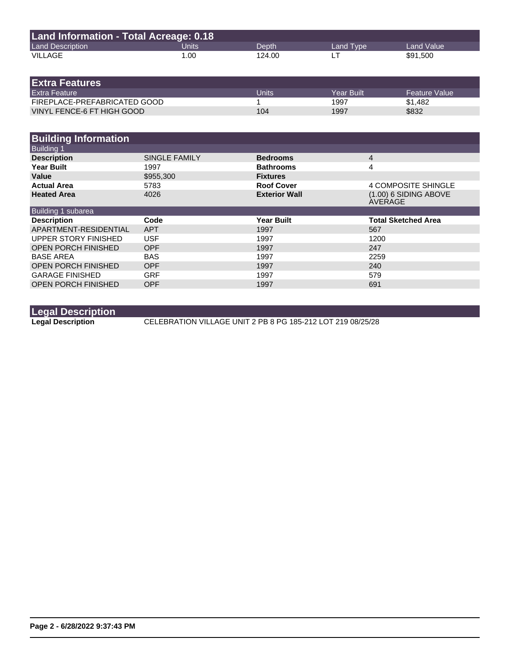| Land Information - Total Acreage: 0.18 |       |        |           |            |  |
|----------------------------------------|-------|--------|-----------|------------|--|
| <b>Land Description</b>                | Units | Depth  | Land Type | Land Value |  |
| VILLAGE                                | 1.00  | 124.00 |           | \$91,500   |  |

| <b>IExtra Features</b>       |       |            |               |
|------------------------------|-------|------------|---------------|
| <b>Extra Feature</b>         | Units | Year Built | Feature Value |
| FIREPLACE-PREFABRICATED GOOD |       | 1997       | \$1.482       |
| VINYL FENCE-6 FT HIGH GOOD   | 104   | 1997       | \$832         |

| <b>Building Information</b> |               |                      |                                    |
|-----------------------------|---------------|----------------------|------------------------------------|
| <b>Building 1</b>           |               |                      |                                    |
| <b>Description</b>          | SINGLE FAMILY | <b>Bedrooms</b>      | 4                                  |
| <b>Year Built</b>           | 1997          | <b>Bathrooms</b>     | 4                                  |
| Value                       | \$955,300     | <b>Fixtures</b>      |                                    |
| <b>Actual Area</b>          | 5783          | <b>Roof Cover</b>    | 4 COMPOSITE SHINGLE                |
| <b>Heated Area</b>          | 4026          | <b>Exterior Wall</b> | $(1.00)$ 6 SIDING ABOVE<br>AVERAGE |
| Building 1 subarea          |               |                      |                                    |
| <b>Description</b>          | Code          | <b>Year Built</b>    | <b>Total Sketched Area</b>         |
| APARTMENT-RESIDENTIAL       | <b>APT</b>    | 1997                 | 567                                |
| UPPER STORY FINISHED        | <b>USF</b>    | 1997                 | 1200                               |
| <b>OPEN PORCH FINISHED</b>  | <b>OPF</b>    | 1997                 | 247                                |
| <b>BASE AREA</b>            | <b>BAS</b>    | 1997                 | 2259                               |
| <b>OPEN PORCH FINISHED</b>  | <b>OPF</b>    | 1997                 | 240                                |
| <b>GARAGE FINISHED</b>      | <b>GRF</b>    | 1997                 | 579                                |
| <b>OPEN PORCH FINISHED</b>  | <b>OPF</b>    | 1997                 | 691                                |

**Legal Description**

**Legal Description** CELEBRATION VILLAGE UNIT 2 PB 8 PG 185-212 LOT 219 08/25/28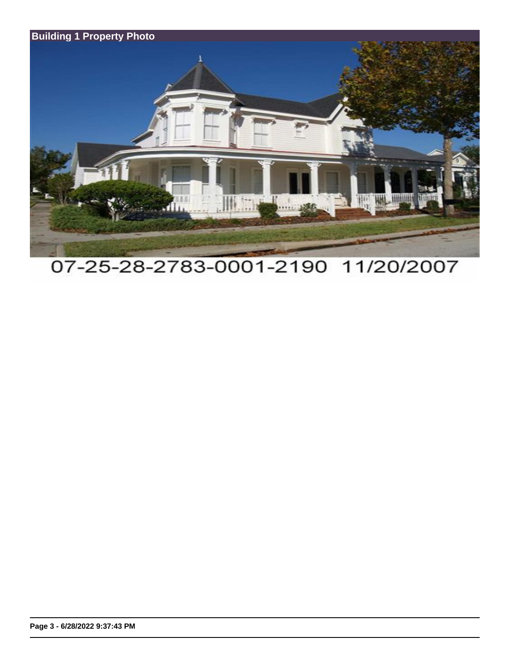

## 07-25-28-2783-0001-2190 11/20/2007